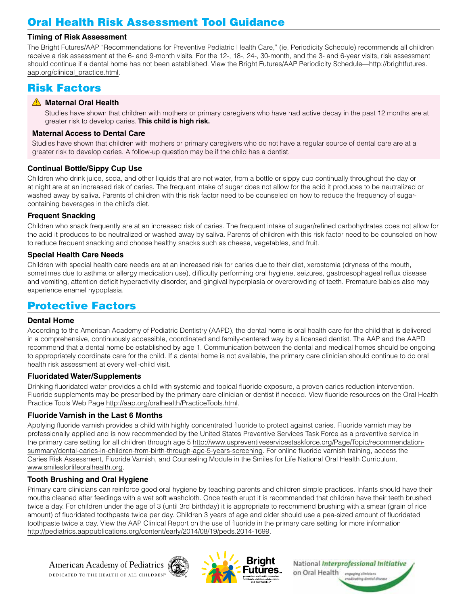# Oral Health Risk Assessment Tool Guidance

### **Timing of Risk Assessment**

The Bright Futures/AAP "Recommendations for Preventive Pediatric Health Care," (ie, Periodicity Schedule) recommends all children receive a risk assessment at the 6- and 9-month visits. For the 12-, 18-, 24-, 30-month, and the 3- and 6-year visits, risk assessment should continue if a dental home has not been established. View the Bright Futures/AAP Periodicity Schedule[—http://brightfutures.](http://brightfutures.aap.org/clinical_practice.html) [aap.org/clinical\\_practice.html](http://brightfutures.aap.org/clinical_practice.html).

## Risk Factors

#### **A** Maternal Oral Health

Studies have shown that children with mothers or primary caregivers who have had active decay in the past 12 months are at greater risk to develop caries. **This child is high risk.** 

#### **Maternal Access to Dental Care**

Studies have shown that children with mothers or primary caregivers who do not have a regular source of dental care are at a greater risk to develop caries. A follow-up question may be if the child has a dentist.

#### **Continual Bottle/Sippy Cup Use**

Children who drink juice, soda, and other liquids that are not water, from a bottle or sippy cup continually throughout the day or at night are at an increased risk of caries. The frequent intake of sugar does not allow for the acid it produces to be neutralized or washed away by saliva. Parents of children with this risk factor need to be counseled on how to reduce the frequency of sugarcontaining beverages in the child's diet.

#### **Frequent Snacking**

Children who snack frequently are at an increased risk of caries. The frequent intake of sugar/refined carbohydrates does not allow for the acid it produces to be neutralized or washed away by saliva. Parents of children with this risk factor need to be counseled on how to reduce frequent snacking and choose healthy snacks such as cheese, vegetables, and fruit.

#### **Special Health Care Needs**

Children with special health care needs are at an increased risk for caries due to their diet, xerostomia (dryness of the mouth, sometimes due to asthma or allergy medication use), difficulty performing oral hygiene, seizures, gastroesophageal reflux disease and vomiting, attention deficit hyperactivity disorder, and gingival hyperplasia or overcrowding of teeth. Premature babies also may experience enamel hypoplasia.

## Protective Factors

#### **Dental Home**

According to the American Academy of Pediatric Dentistry (AAPD), the dental home is oral health care for the child that is delivered in a comprehensive, continuously accessible, coordinated and family-centered way by a licensed dentist. The AAP and the AAPD recommend that a dental home be established by age 1. Communication between the dental and medical homes should be ongoing to appropriately coordinate care for the child. If a dental home is not available, the primary care clinician should continue to do oral health risk assessment at every well-child visit.

#### **Fluoridated Water/Supplements**

Drinking fluoridated water provides a child with systemic and topical fluoride exposure, a proven caries reduction intervention. Fluoride supplements may be prescribed by the primary care clinician or dentist if needed. View fluoride resources on the Oral Health Practice Tools Web Page [http://aap.org/oralhealth/PracticeTools.html.](http://aap.org/oralhealth/PracticeTools.html)

#### **Fluoride Varnish in the Last 6 Months**

Applying fluoride varnish provides a child with highly concentrated fluoride to protect against caries. Fluoride varnish may be professionally applied and is now recommended by the United States Preventive Services Task Force as a preventive service in the primary care setting for all children through age 5 [http://www.uspreventiveservicestaskforce.org/Page/Topic/recommendation](http://www.uspreventiveservicestaskforce.org/Page/Topic/recommendation-summary/dental-caries-in-children-from-birth-through-age-5-years-screening)[summary/dental-caries-in-children-from-birth-through-age-5-years-screening.](http://www.uspreventiveservicestaskforce.org/Page/Topic/recommendation-summary/dental-caries-in-children-from-birth-through-age-5-years-screening) For online fluoride varnish training, access the Caries Risk Assessment, Fluoride Varnish, and Counseling Module in the Smiles for Life National Oral Health Curriculum, [www.smilesforlifeoralhealth.org.](http://www.smilesforlifeoralhealth.org)

#### **Tooth Brushing and Oral Hygiene**

Primary care clinicians can reinforce good oral hygiene by teaching parents and children simple practices. Infants should have their mouths cleaned after feedings with a wet soft washcloth. Once teeth erupt it is recommended that children have their teeth brushed twice a day. For children under the age of 3 (until 3rd birthday) it is appropriate to recommend brushing with a smear (grain of rice amount) of fluoridated toothpaste twice per day. Children 3 years of age and older should use a pea-sized amount of fluoridated toothpaste twice a day. View the AAP Clinical Report on the use of fluoride in the primary care setting for more information [http://pediatrics.aappublications.org/content/early/2014/08/19/peds.2014-1699.](http://pediatrics.aappublications.org/content/early/2014/08/19/peds.2014-1699)



National Interprofessional Initiative on Oral Health engaging clinicians icuting dental divens